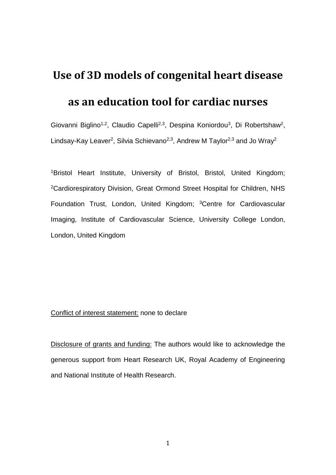# **Use of 3D models of congenital heart disease**

# **as an education tool for cardiac nurses**

Giovanni Biglino<sup>1,2</sup>, Claudio Capelli<sup>2,3</sup>, Despina Koniordou<sup>3</sup>, Di Robertshaw<sup>2</sup>, Lindsay-Kay Leaver<sup>2</sup>, Silvia Schievano<sup>2,3</sup>, Andrew M Taylor<sup>2,3</sup> and Jo Wray<sup>2</sup>

<sup>1</sup>Bristol Heart Institute, University of Bristol, Bristol, United Kingdom; <sup>2</sup>Cardiorespiratory Division, Great Ormond Street Hospital for Children, NHS Foundation Trust, London, United Kingdom; <sup>3</sup>Centre for Cardiovascular Imaging, Institute of Cardiovascular Science, University College London, London, United Kingdom

#### Conflict of interest statement: none to declare

Disclosure of grants and funding: The authors would like to acknowledge the generous support from Heart Research UK, Royal Academy of Engineering and National Institute of Health Research.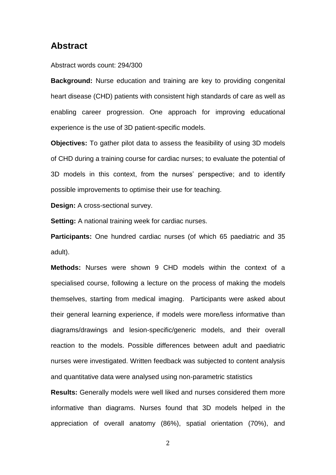### **Abstract**

#### Abstract words count: 294/300

**Background:** Nurse education and training are key to providing congenital heart disease (CHD) patients with consistent high standards of care as well as enabling career progression. One approach for improving educational experience is the use of 3D patient-specific models.

**Objectives:** To gather pilot data to assess the feasibility of using 3D models of CHD during a training course for cardiac nurses; to evaluate the potential of 3D models in this context, from the nurses' perspective; and to identify possible improvements to optimise their use for teaching.

**Design:** A cross-sectional survey.

**Setting:** A national training week for cardiac nurses.

**Participants:** One hundred cardiac nurses (of which 65 paediatric and 35 adult).

**Methods:** Nurses were shown 9 CHD models within the context of a specialised course, following a lecture on the process of making the models themselves, starting from medical imaging. Participants were asked about their general learning experience, if models were more/less informative than diagrams/drawings and lesion-specific/generic models, and their overall reaction to the models. Possible differences between adult and paediatric nurses were investigated. Written feedback was subjected to content analysis and quantitative data were analysed using non-parametric statistics

**Results:** Generally models were well liked and nurses considered them more informative than diagrams. Nurses found that 3D models helped in the appreciation of overall anatomy (86%), spatial orientation (70%), and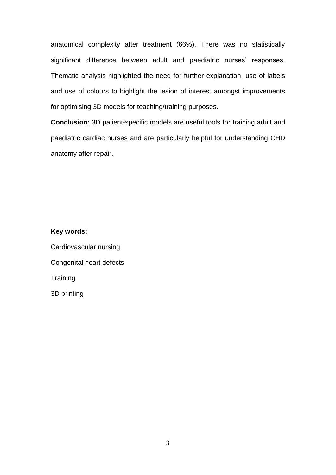anatomical complexity after treatment (66%). There was no statistically significant difference between adult and paediatric nurses' responses. Thematic analysis highlighted the need for further explanation, use of labels and use of colours to highlight the lesion of interest amongst improvements for optimising 3D models for teaching/training purposes.

**Conclusion:** 3D patient-specific models are useful tools for training adult and paediatric cardiac nurses and are particularly helpful for understanding CHD anatomy after repair.

**Key words:**

Cardiovascular nursing Congenital heart defects **Training** 3D printing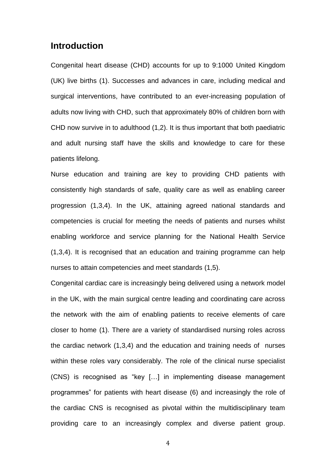## **Introduction**

Congenital heart disease (CHD) accounts for up to 9:1000 United Kingdom (UK) live births (1). Successes and advances in care, including medical and surgical interventions, have contributed to an ever-increasing population of adults now living with CHD, such that approximately 80% of children born with CHD now survive in to adulthood (1,2). It is thus important that both paediatric and adult nursing staff have the skills and knowledge to care for these patients lifelong.

Nurse education and training are key to providing CHD patients with consistently high standards of safe, quality care as well as enabling career progression (1,3,4). In the UK, attaining agreed national standards and competencies is crucial for meeting the needs of patients and nurses whilst enabling workforce and service planning for the National Health Service (1,3,4). It is recognised that an education and training programme can help nurses to attain competencies and meet standards (1,5).

Congenital cardiac care is increasingly being delivered using a network model in the UK, with the main surgical centre leading and coordinating care across the network with the aim of enabling patients to receive elements of care closer to home (1). There are a variety of standardised nursing roles across the cardiac network (1,3,4) and the education and training needs of nurses within these roles vary considerably. The role of the clinical nurse specialist (CNS) is recognised as "key […] in implementing disease management programmes" for patients with heart disease (6) and increasingly the role of the cardiac CNS is recognised as pivotal within the multidisciplinary team providing care to an increasingly complex and diverse patient group.

<sup>4</sup>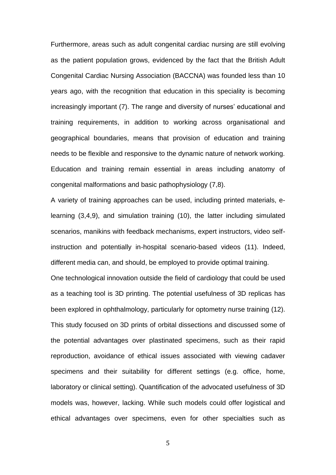Furthermore, areas such as adult congenital cardiac nursing are still evolving as the patient population grows, evidenced by the fact that the British Adult Congenital Cardiac Nursing Association (BACCNA) was founded less than 10 years ago, with the recognition that education in this speciality is becoming increasingly important (7). The range and diversity of nurses' educational and training requirements, in addition to working across organisational and geographical boundaries, means that provision of education and training needs to be flexible and responsive to the dynamic nature of network working. Education and training remain essential in areas including anatomy of congenital malformations and basic pathophysiology (7,8).

A variety of training approaches can be used, including printed materials, elearning (3,4,9), and simulation training (10), the latter including simulated scenarios, manikins with feedback mechanisms, expert instructors, video selfinstruction and potentially in-hospital scenario-based videos (11). Indeed, different media can, and should, be employed to provide optimal training. One technological innovation outside the field of cardiology that could be used as a teaching tool is 3D printing. The potential usefulness of 3D replicas has been explored in ophthalmology, particularly for optometry nurse training (12). This study focused on 3D prints of orbital dissections and discussed some of the potential advantages over plastinated specimens, such as their rapid reproduction, avoidance of ethical issues associated with viewing cadaver specimens and their suitability for different settings (e.g. office, home, laboratory or clinical setting). Quantification of the advocated usefulness of 3D models was, however, lacking. While such models could offer logistical and ethical advantages over specimens, even for other specialties such as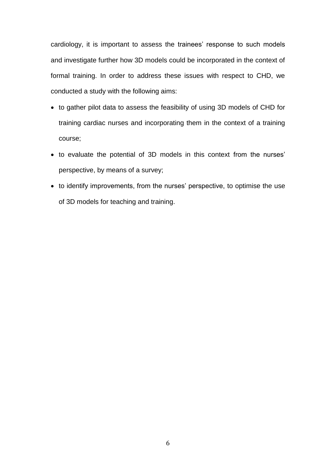cardiology, it is important to assess the trainees' response to such models and investigate further how 3D models could be incorporated in the context of formal training. In order to address these issues with respect to CHD, we conducted a study with the following aims:

- to gather pilot data to assess the feasibility of using 3D models of CHD for training cardiac nurses and incorporating them in the context of a training course;
- to evaluate the potential of 3D models in this context from the nurses' perspective, by means of a survey;
- to identify improvements, from the nurses' perspective, to optimise the use of 3D models for teaching and training.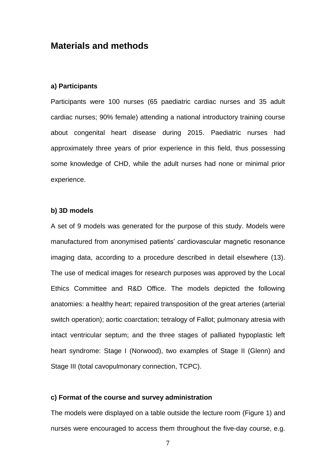## **Materials and methods**

#### **a) Participants**

Participants were 100 nurses (65 paediatric cardiac nurses and 35 adult cardiac nurses; 90% female) attending a national introductory training course about congenital heart disease during 2015. Paediatric nurses had approximately three years of prior experience in this field, thus possessing some knowledge of CHD, while the adult nurses had none or minimal prior experience.

#### **b) 3D models**

A set of 9 models was generated for the purpose of this study. Models were manufactured from anonymised patients' cardiovascular magnetic resonance imaging data, according to a procedure described in detail elsewhere (13). The use of medical images for research purposes was approved by the Local Ethics Committee and R&D Office. The models depicted the following anatomies: a healthy heart; repaired transposition of the great arteries (arterial switch operation); aortic coarctation; tetralogy of Fallot; pulmonary atresia with intact ventricular septum; and the three stages of palliated hypoplastic left heart syndrome: Stage I (Norwood), two examples of Stage II (Glenn) and Stage III (total cavopulmonary connection, TCPC).

#### **c) Format of the course and survey administration**

The models were displayed on a table outside the lecture room (Figure 1) and nurses were encouraged to access them throughout the five-day course, e.g.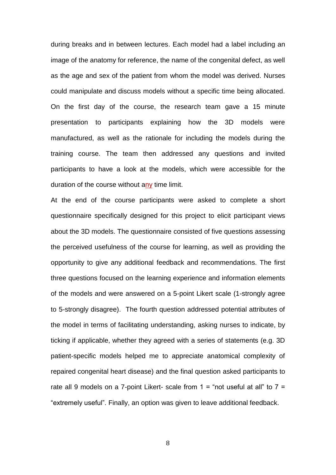during breaks and in between lectures. Each model had a label including an image of the anatomy for reference, the name of the congenital defect, as well as the age and sex of the patient from whom the model was derived. Nurses could manipulate and discuss models without a specific time being allocated. On the first day of the course, the research team gave a 15 minute presentation to participants explaining how the 3D models were manufactured, as well as the rationale for including the models during the training course. The team then addressed any questions and invited participants to have a look at the models, which were accessible for the duration of the course without any time limit.

At the end of the course participants were asked to complete a short questionnaire specifically designed for this project to elicit participant views about the 3D models. The questionnaire consisted of five questions assessing the perceived usefulness of the course for learning, as well as providing the opportunity to give any additional feedback and recommendations. The first three questions focused on the learning experience and information elements of the models and were answered on a 5-point Likert scale (1-strongly agree to 5-strongly disagree). The fourth question addressed potential attributes of the model in terms of facilitating understanding, asking nurses to indicate, by ticking if applicable, whether they agreed with a series of statements (e.g. 3D patient-specific models helped me to appreciate anatomical complexity of repaired congenital heart disease) and the final question asked participants to rate all 9 models on a 7-point Likert- scale from  $1 =$  "not useful at all" to  $7 =$ "extremely useful". Finally, an option was given to leave additional feedback.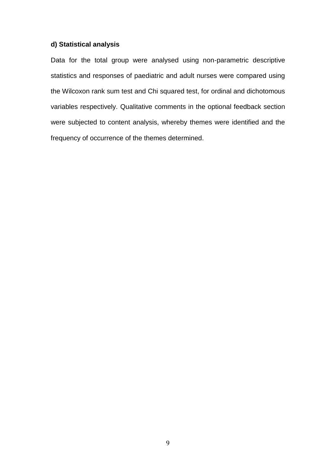#### **d) Statistical analysis**

Data for the total group were analysed using non-parametric descriptive statistics and responses of paediatric and adult nurses were compared using the Wilcoxon rank sum test and Chi squared test, for ordinal and dichotomous variables respectively. Qualitative comments in the optional feedback section were subjected to content analysis, whereby themes were identified and the frequency of occurrence of the themes determined.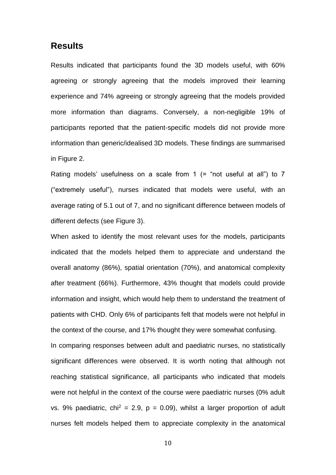### **Results**

Results indicated that participants found the 3D models useful, with 60% agreeing or strongly agreeing that the models improved their learning experience and 74% agreeing or strongly agreeing that the models provided more information than diagrams. Conversely, a non-negligible 19% of participants reported that the patient-specific models did not provide more information than generic/idealised 3D models. These findings are summarised in Figure 2.

Rating models' usefulness on a scale from 1  $($  = "not useful at all") to 7 ("extremely useful"), nurses indicated that models were useful, with an average rating of 5.1 out of 7, and no significant difference between models of different defects (see Figure 3).

When asked to identify the most relevant uses for the models, participants indicated that the models helped them to appreciate and understand the overall anatomy (86%), spatial orientation (70%), and anatomical complexity after treatment (66%). Furthermore, 43% thought that models could provide information and insight, which would help them to understand the treatment of patients with CHD. Only 6% of participants felt that models were not helpful in the context of the course, and 17% thought they were somewhat confusing. In comparing responses between adult and paediatric nurses, no statistically significant differences were observed. It is worth noting that although not reaching statistical significance, all participants who indicated that models were not helpful in the context of the course were paediatric nurses (0% adult vs. 9% paediatric, chi<sup>2</sup> = 2.9, p = 0.09), whilst a larger proportion of adult nurses felt models helped them to appreciate complexity in the anatomical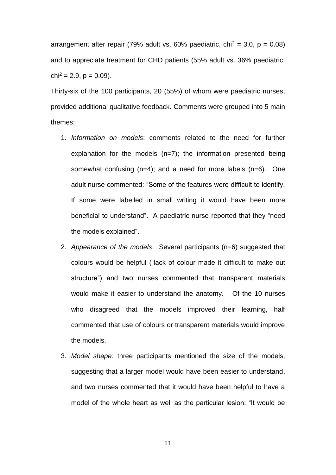arrangement after repair (79% adult vs. 60% paediatric, chi<sup>2</sup> = 3.0, p = 0.08) and to appreciate treatment for CHD patients (55% adult vs. 36% paediatric,  $chi^2 = 2.9$ ,  $p = 0.09$ ).

Thirty-six of the 100 participants, 20 (55%) of whom were paediatric nurses, provided additional qualitative feedback. Comments were grouped into 5 main themes:

- 1. *Information on models*: comments related to the need for further explanation for the models (n=7); the information presented being somewhat confusing (n=4); and a need for more labels (n=6). One adult nurse commented: "Some of the features were difficult to identify. If some were labelled in small writing it would have been more beneficial to understand". A paediatric nurse reported that they "need the models explained".
- 2. *Appearance of the models*: Several participants (n=6) suggested that colours would be helpful ("lack of colour made it difficult to make out structure") and two nurses commented that transparent materials would make it easier to understand the anatomy. Of the 10 nurses who disagreed that the models improved their learning, half commented that use of colours or transparent materials would improve the models.
- 3. *Model shape:* three participants mentioned the size of the models, suggesting that a larger model would have been easier to understand, and two nurses commented that it would have been helpful to have a model of the whole heart as well as the particular lesion: "It would be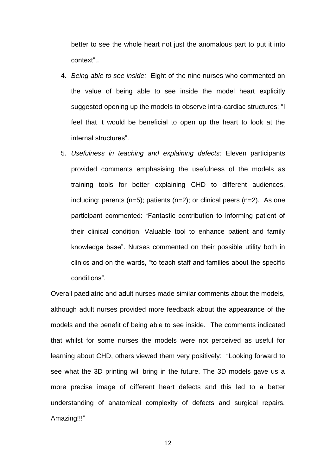better to see the whole heart not just the anomalous part to put it into context"..

- 4. *Being able to see inside:* Eight of the nine nurses who commented on the value of being able to see inside the model heart explicitly suggested opening up the models to observe intra-cardiac structures: "I feel that it would be beneficial to open up the heart to look at the internal structures".
- 5. *Usefulness in teaching and explaining defects:* Eleven participants provided comments emphasising the usefulness of the models as training tools for better explaining CHD to different audiences, including: parents  $(n=5)$ ; patients  $(n=2)$ ; or clinical peers  $(n=2)$ . As one participant commented: "Fantastic contribution to informing patient of their clinical condition. Valuable tool to enhance patient and family knowledge base". Nurses commented on their possible utility both in clinics and on the wards, "to teach staff and families about the specific conditions".

Overall paediatric and adult nurses made similar comments about the models, although adult nurses provided more feedback about the appearance of the models and the benefit of being able to see inside. The comments indicated that whilst for some nurses the models were not perceived as useful for learning about CHD, others viewed them very positively: "Looking forward to see what the 3D printing will bring in the future. The 3D models gave us a more precise image of different heart defects and this led to a better understanding of anatomical complexity of defects and surgical repairs. Amazing!!!"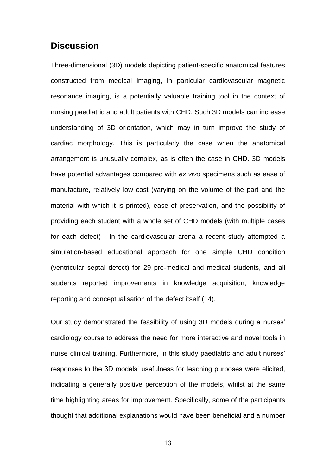## **Discussion**

Three-dimensional (3D) models depicting patient-specific anatomical features constructed from medical imaging, in particular cardiovascular magnetic resonance imaging, is a potentially valuable training tool in the context of nursing paediatric and adult patients with CHD. Such 3D models can increase understanding of 3D orientation, which may in turn improve the study of cardiac morphology. This is particularly the case when the anatomical arrangement is unusually complex, as is often the case in CHD. 3D models have potential advantages compared with *ex vivo* specimens such as ease of manufacture, relatively low cost (varying on the volume of the part and the material with which it is printed), ease of preservation, and the possibility of providing each student with a whole set of CHD models (with multiple cases for each defect) . In the cardiovascular arena a recent study attempted a simulation-based educational approach for one simple CHD condition (ventricular septal defect) for 29 pre-medical and medical students, and all students reported improvements in knowledge acquisition, knowledge reporting and conceptualisation of the defect itself (14).

Our study demonstrated the feasibility of using 3D models during a nurses' cardiology course to address the need for more interactive and novel tools in nurse clinical training. Furthermore, in this study paediatric and adult nurses' responses to the 3D models' usefulness for teaching purposes were elicited, indicating a generally positive perception of the models, whilst at the same time highlighting areas for improvement. Specifically, some of the participants thought that additional explanations would have been beneficial and a number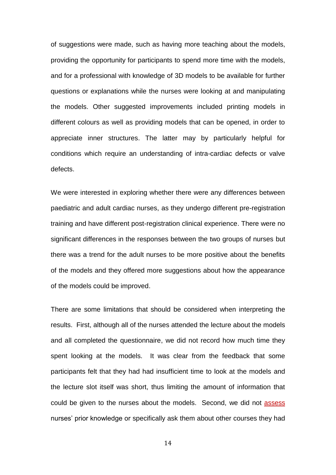of suggestions were made, such as having more teaching about the models, providing the opportunity for participants to spend more time with the models, and for a professional with knowledge of 3D models to be available for further questions or explanations while the nurses were looking at and manipulating the models. Other suggested improvements included printing models in different colours as well as providing models that can be opened, in order to appreciate inner structures. The latter may by particularly helpful for conditions which require an understanding of intra-cardiac defects or valve defects.

We were interested in exploring whether there were any differences between paediatric and adult cardiac nurses, as they undergo different pre-registration training and have different post-registration clinical experience. There were no significant differences in the responses between the two groups of nurses but there was a trend for the adult nurses to be more positive about the benefits of the models and they offered more suggestions about how the appearance of the models could be improved.

There are some limitations that should be considered when interpreting the results. First, although all of the nurses attended the lecture about the models and all completed the questionnaire, we did not record how much time they spent looking at the models. It was clear from the feedback that some participants felt that they had had insufficient time to look at the models and the lecture slot itself was short, thus limiting the amount of information that could be given to the nurses about the models. Second, we did not assess nurses' prior knowledge or specifically ask them about other courses they had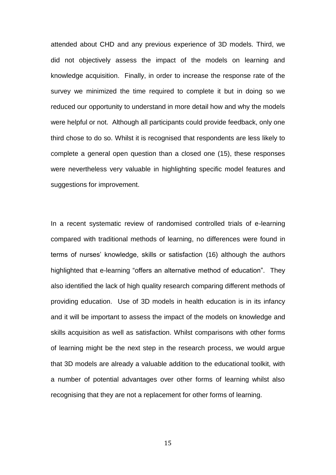attended about CHD and any previous experience of 3D models. Third, we did not objectively assess the impact of the models on learning and knowledge acquisition. Finally, in order to increase the response rate of the survey we minimized the time required to complete it but in doing so we reduced our opportunity to understand in more detail how and why the models were helpful or not. Although all participants could provide feedback, only one third chose to do so. Whilst it is recognised that respondents are less likely to complete a general open question than a closed one (15), these responses were nevertheless very valuable in highlighting specific model features and suggestions for improvement.

In a recent systematic review of randomised controlled trials of e-learning compared with traditional methods of learning, no differences were found in terms of nurses' knowledge, skills or satisfaction (16) although the authors highlighted that e-learning "offers an alternative method of education". They also identified the lack of high quality research comparing different methods of providing education. Use of 3D models in health education is in its infancy and it will be important to assess the impact of the models on knowledge and skills acquisition as well as satisfaction. Whilst comparisons with other forms of learning might be the next step in the research process, we would argue that 3D models are already a valuable addition to the educational toolkit, with a number of potential advantages over other forms of learning whilst also recognising that they are not a replacement for other forms of learning.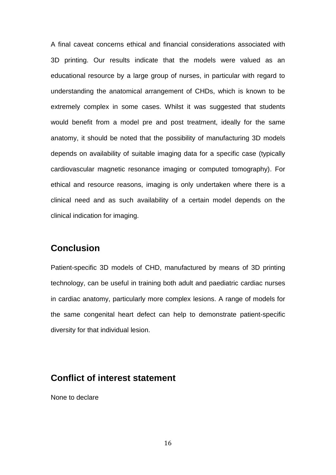A final caveat concerns ethical and financial considerations associated with 3D printing. Our results indicate that the models were valued as an educational resource by a large group of nurses, in particular with regard to understanding the anatomical arrangement of CHDs, which is known to be extremely complex in some cases. Whilst it was suggested that students would benefit from a model pre and post treatment, ideally for the same anatomy, it should be noted that the possibility of manufacturing 3D models depends on availability of suitable imaging data for a specific case (typically cardiovascular magnetic resonance imaging or computed tomography). For ethical and resource reasons, imaging is only undertaken where there is a clinical need and as such availability of a certain model depends on the clinical indication for imaging.

## **Conclusion**

Patient-specific 3D models of CHD, manufactured by means of 3D printing technology, can be useful in training both adult and paediatric cardiac nurses in cardiac anatomy, particularly more complex lesions. A range of models for the same congenital heart defect can help to demonstrate patient-specific diversity for that individual lesion.

## **Conflict of interest statement**

None to declare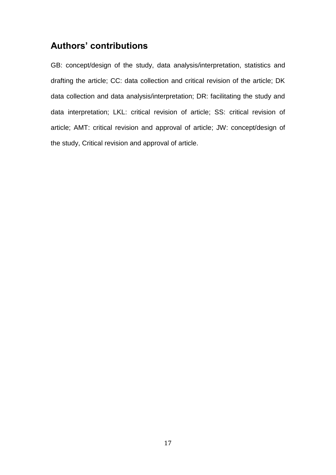## **Authors' contributions**

GB: concept/design of the study, data analysis/interpretation, statistics and drafting the article; CC: data collection and critical revision of the article; DK data collection and data analysis/interpretation; DR: facilitating the study and data interpretation; LKL: critical revision of article; SS: critical revision of article; AMT: critical revision and approval of article; JW: concept/design of the study, Critical revision and approval of article.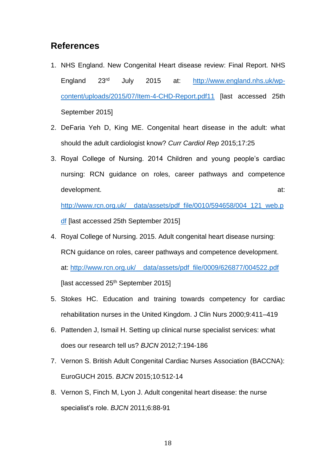## **References**

- 1. NHS England. New Congenital Heart disease review: Final Report. NHS England 23rd July 2015 at: [http://www.england.nhs.uk/wp](http://www.england.nhs.uk/wp-content/uploads/2015/07/Item-4-CHD-Report.pdf11)[content/uploads/2015/07/Item-4-CHD-Report.pdf11](http://www.england.nhs.uk/wp-content/uploads/2015/07/Item-4-CHD-Report.pdf11) [last accessed 25th September 2015]
- 2. DeFaria Yeh D, King ME. Congenital heart disease in the adult: what should the adult cardiologist know? *Curr Cardiol Rep* 2015;17:25
- 3. Royal College of Nursing. 2014 Children and young people's cardiac nursing: RCN guidance on roles, career pathways and competence development. at:

[http://www.rcn.org.uk/\\_\\_data/assets/pdf\\_file/0010/594658/004\\_121\\_web.p](http://www.rcn.org.uk/__data/assets/pdf_file/0010/594658/004_121_web.pdf) [df](http://www.rcn.org.uk/__data/assets/pdf_file/0010/594658/004_121_web.pdf) [last accessed 25th September 2015]

- 4. Royal College of Nursing. 2015. Adult congenital heart disease nursing: RCN guidance on roles, career pathways and competence development. at: [http://www.rcn.org.uk/\\_\\_data/assets/pdf\\_file/0009/626877/004522.pdf](http://www.rcn.org.uk/__data/assets/pdf_file/0009/626877/004522.pdf) [last accessed 25<sup>th</sup> September 2015]
- 5. Stokes HC. Education and training towards competency for cardiac rehabilitation nurses in the United Kingdom. J Clin Nurs 2000;9:411–419
- 6. Pattenden J, Ismail H. [Setting up clinical nurse specialist services: what](http://www.magonlinelibrary.com/doi/10.12968/bjca.2012.7.4.184)  [does our research tell us?](http://www.magonlinelibrary.com/doi/10.12968/bjca.2012.7.4.184) *BJCN* 2012;7:194-186
- 7. Vernon S. British Adult Congenital Cardiac Nurses Association (BACCNA): EuroGUCH 2015. *BJCN* 2015;10:512-14
- 8. Vernon S, Finch M, Lyon J. Adult congenital heart disease: the nurse specialist's role. *BJCN* 2011;6:88-91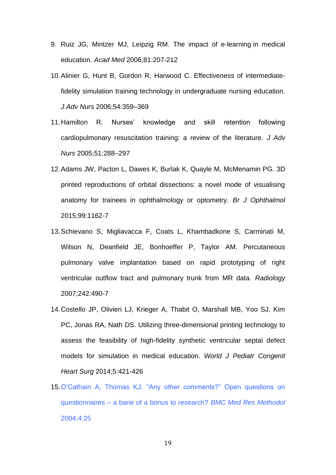- 9. Ruiz JG, Mintzer MJ, Leipzig RM. The impact of e-learning in medical education. *Acad Med* 2006;81:207-212
- 10.Alinier G, Hunt B, Gordon R, Harwood C. Effectiveness of intermediatefidelity simulation training technology in undergraduate nursing education. *J Adv Nurs* 2006;54:359–369
- 11.Hamilton R. Nurses' knowledge and skill retention following cardiopulmonary resuscitation training: a review of the literature. *J Adv Nurs* 2005;51:288–297
- 12.Adams JW, Pacton L, Dawes K, Burlak K, Quayle M, McMenamin PG. 3D printed reproductions of orbital dissections: a novel mode of visualising anatomy for trainees in ophthalmology or optometry. *Br J Ophthalmol* 2015;99:1162-7
- 13.Schievano S, Migliavacca F, Coats L, Khambadkone S, Carminati M, Wilson N, Deanfield JE, Bonhoeffer P, Taylor AM. Percutaneous pulmonary valve implantation based on rapid prototyping of right ventricular outflow tract and pulmonary trunk from MR data. *Radiology* 2007;242:490-7
- 14.Costello JP, Olivieri LJ, Krieger A, Thabit O, Marshall MB, Yoo SJ, Kim PC, Jonas RA, Nath DS. Utilizing three-dimensional printing technology to assess the feasibility of high-fidelity synthetic ventricular septal defect models for simulation in medical education. *World J Pediatr Congenit Heart Surg* 2014;5:421-426
- 15.O'Cathain A, Thomas KJ. "Any other comments?" Open questions on questionnaires – a bane of a bonus to research? *BMC Med Res Methodol* 2004;4:25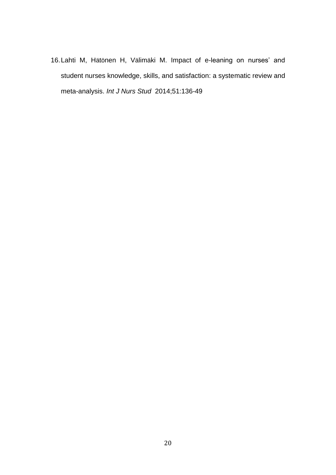16.Lahti M, Hätönen H, Välimäki M. Impact of e-leaning on nurses' and student nurses knowledge, skills, and satisfaction: a systematic review and meta-analysis. *Int J Nurs Stud* 2014;51:136-49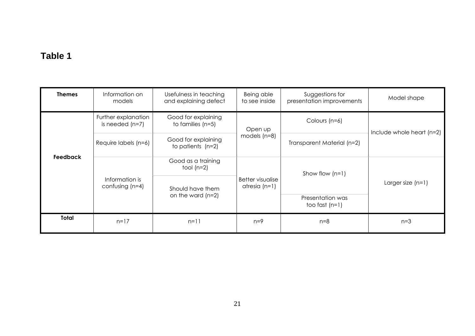# **Table 1**

| <b>Themes</b> | Information on<br>models                 | Usefulness in teaching<br>and explaining defect | Being able<br>to see inside              | Suggestions for<br>presentation improvements | Model shape               |
|---------------|------------------------------------------|-------------------------------------------------|------------------------------------------|----------------------------------------------|---------------------------|
| Feedback      | Further explanation<br>is needed $(n=7)$ | Good for explaining<br>to families $(n=5)$      | Open up<br>models $(n=8)$                | Colours (n=6)                                | Include whole heart (n=2) |
|               | Require labels (n=6)                     | Good for explaining<br>to patients $(n=2)$      |                                          | Transparent Material (n=2)                   |                           |
|               | Information is<br>confusing $(n=4)$      | Good as a training<br>tool $(n=2)$              | Better visualise<br>$atresi\alpha$ (n=1) | Show flow $(n=1)$                            | Larger size $(n=1)$       |
|               |                                          | Should have them<br>on the ward $(n=2)$         |                                          |                                              |                           |
|               |                                          |                                                 |                                          | Presentation was<br>too fast $(n=1)$         |                           |
| <b>Total</b>  | $n=17$                                   | $n=11$                                          | $n=9$                                    | $n=8$                                        | $n=3$                     |